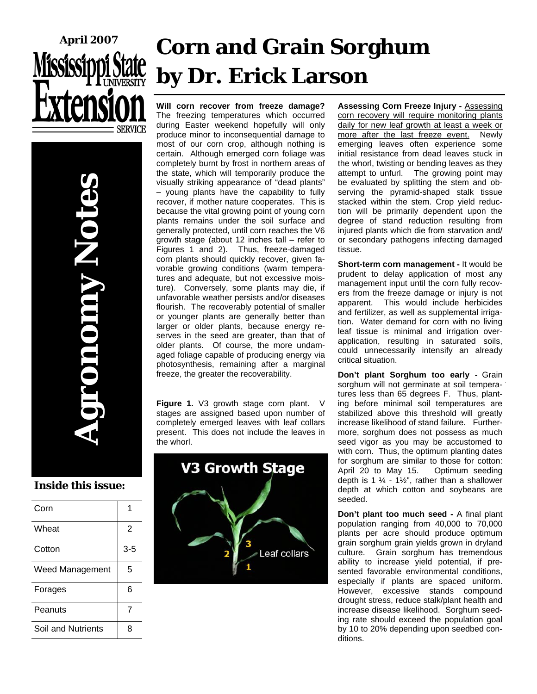

# **Corn and Grain Sorghum by Dr. Erick Larson**

**Will corn recover from freeze damage?** The freezing temperatures which occurred during Easter weekend hopefully will only produce minor to inconsequential damage to most of our corn crop, although nothing is certain. Although emerged corn foliage was completely burnt by frost in northern areas of the state, which will temporarily produce the visually striking appearance of "dead plants" – young plants have the capability to fully recover, if mother nature cooperates. This is because the vital growing point of young corn plants remains under the soil surface and generally protected, until corn reaches the V6 growth stage (about 12 inches tall – refer to Figures 1 and 2). Thus, freeze-damaged corn plants should quickly recover, given favorable growing conditions (warm temperatures and adequate, but not excessive moisture). Conversely, some plants may die, if unfavorable weather persists and/or diseases flourish. The recoverably potential of smaller or younger plants are generally better than larger or older plants, because energy reserves in the seed are greater, than that of older plants. Of course, the more undamaged foliage capable of producing energy via photosynthesis, remaining after a marginal freeze, the greater the recoverability.

**Figure 1.** V3 growth stage corn plant. V stages are assigned based upon number of completely emerged leaves with leaf collars present. This does not include the leaves in the whorl.



**Assessing Corn Freeze Injury -** Assessing corn recovery will require monitoring plants daily for new leaf growth at least a week or more after the last freeze event. Newly emerging leaves often experience some initial resistance from dead leaves stuck in the whorl, twisting or bending leaves as they attempt to unfurl. The growing point may be evaluated by splitting the stem and observing the pyramid-shaped stalk tissue stacked within the stem. Crop yield reduction will be primarily dependent upon the degree of stand reduction resulting from injured plants which die from starvation and/ or secondary pathogens infecting damaged tissue.

**Short-term corn management -** It would be prudent to delay application of most any management input until the corn fully recovers from the freeze damage or injury is not apparent. This would include herbicides and fertilizer, as well as supplemental irrigation. Water demand for corn with no living leaf tissue is minimal and irrigation overapplication, resulting in saturated soils, could unnecessarily intensify an already critical situation.

**Don't plant Sorghum too early -** Grain sorghum will not germinate at soil temperatures less than 65 degrees F. Thus, planting before minimal soil temperatures are stabilized above this threshold will greatly increase likelihood of stand failure. Furthermore, sorghum does not possess as much seed vigor as you may be accustomed to with corn. Thus, the optimum planting dates for sorghum are similar to those for cotton: April 20 to May 15. Optimum seeding depth is 1  $\frac{1}{4}$  - 1½", rather than a shallower depth at which cotton and soybeans are seeded.

**Don't plant too much seed -** A final plant population ranging from 40,000 to 70,000 plants per acre should produce optimum grain sorghum grain yields grown in dryland culture. Grain sorghum has tremendous ability to increase yield potential, if presented favorable environmental conditions, especially if plants are spaced uniform. However, excessive stands compound drought stress, reduce stalk/plant health and increase disease likelihood. Sorghum seeding rate should exceed the population goal by 10 to 20% depending upon seedbed conditions.

#### **Inside this issue:**

| Corn                   |         |
|------------------------|---------|
| Wheat                  | 2       |
| Cotton                 | $3 - 5$ |
| <b>Weed Management</b> | 5       |
| Forages                | 6       |
| Peanuts                | 7       |
| Soil and Nutrients     | 8       |

**Agronomy Notes** 

**ANULO**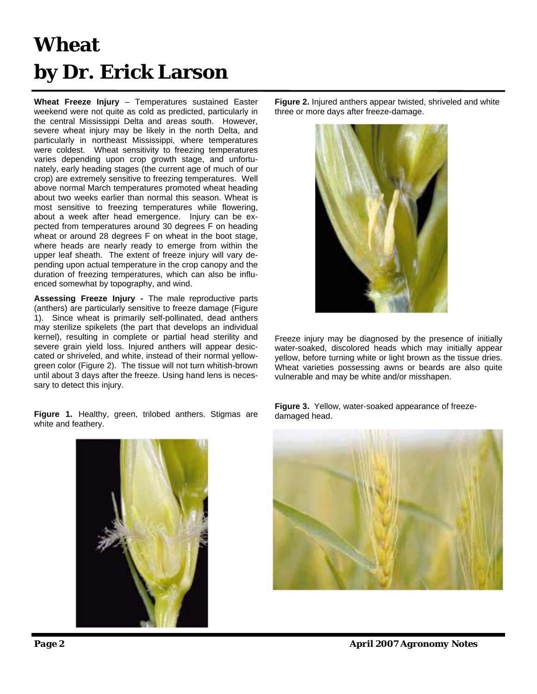## **Wheat by Dr. Erick Larson**

**Wheat Freeze Injury** – Temperatures sustained Easter weekend were not quite as cold as predicted, particularly in the central Mississippi Delta and areas south. However, severe wheat injury may be likely in the north Delta, and particularly in northeast Mississippi, where temperatures were coldest. Wheat sensitivity to freezing temperatures varies depending upon crop growth stage, and unfortunately, early heading stages (the current age of much of our crop) are extremely sensitive to freezing temperatures. Well above normal March temperatures promoted wheat heading about two weeks earlier than normal this season. Wheat is most sensitive to freezing temperatures while flowering, about a week after head emergence. Injury can be expected from temperatures around 30 degrees F on heading wheat or around 28 degrees F on wheat in the boot stage, where heads are nearly ready to emerge from within the upper leaf sheath. The extent of freeze injury will vary depending upon actual temperature in the crop canopy and the duration of freezing temperatures, which can also be influenced somewhat by topography, and wind.

**Assessing Freeze Injury -** The male reproductive parts (anthers) are particularly sensitive to freeze damage (Figure 1). Since wheat is primarily self-pollinated, dead anthers may sterilize spikelets (the part that develops an individual kernel), resulting in complete or partial head sterility and severe grain yield loss. Injured anthers will appear desiccated or shriveled, and white, instead of their normal yellowgreen color (Figure 2). The tissue will not turn whitish-brown until about 3 days after the freeze. Using hand lens is necessary to detect this injury.

**Figure 1.** Healthy, green, trilobed anthers. Stigmas are white and feathery.

**Figure 2.** Injured anthers appear twisted, shriveled and white three or more days after freeze-damage.



Freeze injury may be diagnosed by the presence of initially water-soaked, discolored heads which may initially appear yellow, before turning white or light brown as the tissue dries. Wheat varieties possessing awns or beards are also quite vulnerable and may be white and/or misshapen.

**Figure 3.** Yellow, water-soaked appearance of freezedamaged head.



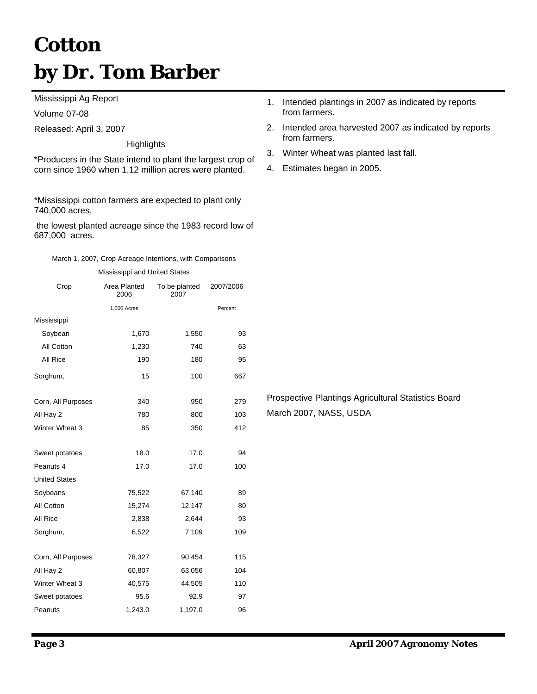## **Cotton by Dr. Tom Barber**

Mississippi Ag Report

Volume 07-08

Released: April 3, 2007

**Highlights** 

\*Producers in the State intend to plant the largest crop of corn since 1960 when 1.12 million acres were planted.

\*Mississippi cotton farmers are expected to plant only 740,000 acres,

 the lowest planted acreage since the 1983 record low of 687,000 acres.

| Mississippi and United States |                      |                       |           |  |  |  |  |  |
|-------------------------------|----------------------|-----------------------|-----------|--|--|--|--|--|
| Crop                          | Area Planted<br>2006 | To be planted<br>2007 | 2007/2006 |  |  |  |  |  |
|                               | 1,000 Acres          |                       | Percent   |  |  |  |  |  |
| Mississippi                   |                      |                       |           |  |  |  |  |  |
| Soybean                       | 1,670                | 1,550                 | 93        |  |  |  |  |  |
| All Cotton                    | 1,230                | 740                   | 63        |  |  |  |  |  |
| All Rice                      | 190                  | 180                   | 95        |  |  |  |  |  |
| Sorghum,                      | 15                   | 100                   | 667       |  |  |  |  |  |
| Corn, All Purposes            | 340                  | 950                   | 279       |  |  |  |  |  |
| All Hay 2                     | 780                  | 800                   | 103       |  |  |  |  |  |
| Winter Wheat 3                | 85                   | 350                   | 412       |  |  |  |  |  |
| Sweet potatoes                | 18.0                 | 17.0                  | 94        |  |  |  |  |  |
| Peanuts 4                     | 17.0                 | 17.0                  | 100       |  |  |  |  |  |
| <b>United States</b>          |                      |                       |           |  |  |  |  |  |
| Soybeans                      | 75,522               | 67,140                | 89        |  |  |  |  |  |
| All Cotton                    | 15,274               | 12,147                | 80        |  |  |  |  |  |
| All Rice                      | 2,838                | 2,644                 | 93        |  |  |  |  |  |
| Sorghum,                      | 6,522                | 7,109                 | 109       |  |  |  |  |  |
| Corn, All Purposes            | 78,327               | 90,454                | 115       |  |  |  |  |  |
| All Hay 2                     | 60,807               | 63,056                | 104       |  |  |  |  |  |
| Winter Wheat 3                | 40,575               | 44,505                | 110       |  |  |  |  |  |
| Sweet potatoes                | 95.6                 | 92.9                  | 97        |  |  |  |  |  |
| Peanuts                       | 1,243.0              | 1,197.0               | 96        |  |  |  |  |  |

- 1. Intended plantings in 2007 as indicated by reports from farmers.
- 2. Intended area harvested 2007 as indicated by reports from farmers.
- 3. Winter Wheat was planted last fall.
- 4. Estimates began in 2005.

Prospective Plantings Agricultural Statistics Board March 2007, NASS, USDA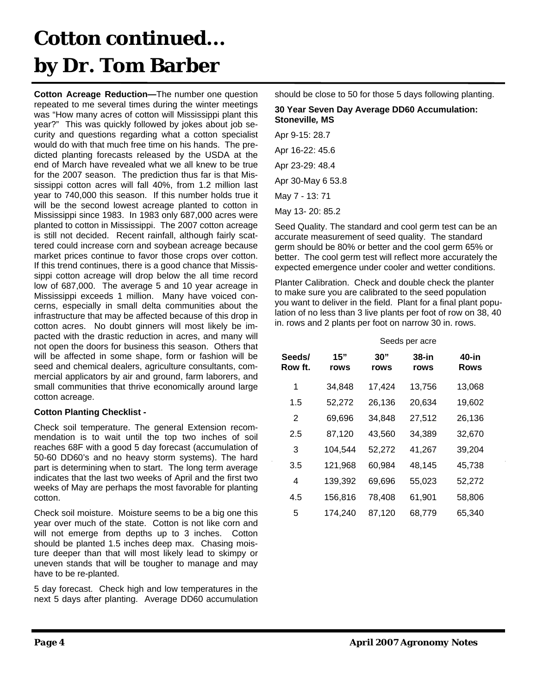### **Cotton continued... by Dr. Tom Barber**

**Cotton Acreage Reduction—**The number one question repeated to me several times during the winter meetings was "How many acres of cotton will Mississippi plant this year?" This was quickly followed by jokes about job security and questions regarding what a cotton specialist would do with that much free time on his hands. The predicted planting forecasts released by the USDA at the end of March have revealed what we all knew to be true for the 2007 season. The prediction thus far is that Mississippi cotton acres will fall 40%, from 1.2 million last year to 740,000 this season. If this number holds true it will be the second lowest acreage planted to cotton in Mississippi since 1983. In 1983 only 687,000 acres were planted to cotton in Mississippi. The 2007 cotton acreage is still not decided. Recent rainfall, although fairly scattered could increase corn and soybean acreage because market prices continue to favor those crops over cotton. If this trend continues, there is a good chance that Mississippi cotton acreage will drop below the all time record low of 687,000. The average 5 and 10 year acreage in Mississippi exceeds 1 million. Many have voiced concerns, especially in small delta communities about the infrastructure that may be affected because of this drop in cotton acres. No doubt ginners will most likely be impacted with the drastic reduction in acres, and many will not open the doors for business this season. Others that will be affected in some shape, form or fashion will be seed and chemical dealers, agriculture consultants, commercial applicators by air and ground, farm laborers, and small communities that thrive economically around large cotton acreage.

#### **Cotton Planting Checklist -**

Check soil temperature. The general Extension recommendation is to wait until the top two inches of soil reaches 68F with a good 5 day forecast (accumulation of 50-60 DD60's and no heavy storm systems). The hard part is determining when to start. The long term average indicates that the last two weeks of April and the first two weeks of May are perhaps the most favorable for planting cotton.

Check soil moisture. Moisture seems to be a big one this year over much of the state. Cotton is not like corn and will not emerge from depths up to 3 inches. Cotton should be planted 1.5 inches deep max. Chasing moisture deeper than that will most likely lead to skimpy or uneven stands that will be tougher to manage and may have to be re-planted.

5 day forecast. Check high and low temperatures in the next 5 days after planting. Average DD60 accumulation should be close to 50 for those 5 days following planting.

#### **30 Year Seven Day Average DD60 Accumulation: Stoneville***,* **MS**

Apr 9-15: 28.7 Apr 16-22: 45.6 Apr 23-29: 48.4 Apr 30-May 6 53.8 May 7 - 13: 71 May 13- 20: 85.2

Seed Quality. The standard and cool germ test can be an accurate measurement of seed quality. The standard germ should be 80% or better and the cool germ 65% or better. The cool germ test will reflect more accurately the expected emergence under cooler and wetter conditions.

Planter Calibration. Check and double check the planter to make sure you are calibrated to the seed population you want to deliver in the field. Plant for a final plant population of no less than 3 live plants per foot of row on 38, 40 in. rows and 2 plants per foot on narrow 30 in. rows.

|                   | Seeds per acre |             |               |               |  |
|-------------------|----------------|-------------|---------------|---------------|--|
| Seeds/<br>Row ft. | 15"<br>rows    | 30"<br>rows | 38-in<br>rows | 40-in<br>Rows |  |
| 1                 | 34,848         | 17,424      | 13,756        | 13,068        |  |
| 1.5               | 52,272         | 26,136      | 20,634        | 19,602        |  |
| 2                 | 69,696         | 34,848      | 27,512        | 26,136        |  |
| 2.5               | 87,120         | 43,560      | 34,389        | 32,670        |  |
| 3                 | 104,544        | 52,272      | 41,267        | 39,204        |  |
| 3.5               | 121,968        | 60,984      | 48,145        | 45,738        |  |
| 4                 | 139,392        | 69,696      | 55,023        | 52,272        |  |
| 4.5               | 156,816        | 78,408      | 61,901        | 58,806        |  |
| 5                 | 174,240        | 87,120      | 68,779        | 65,340        |  |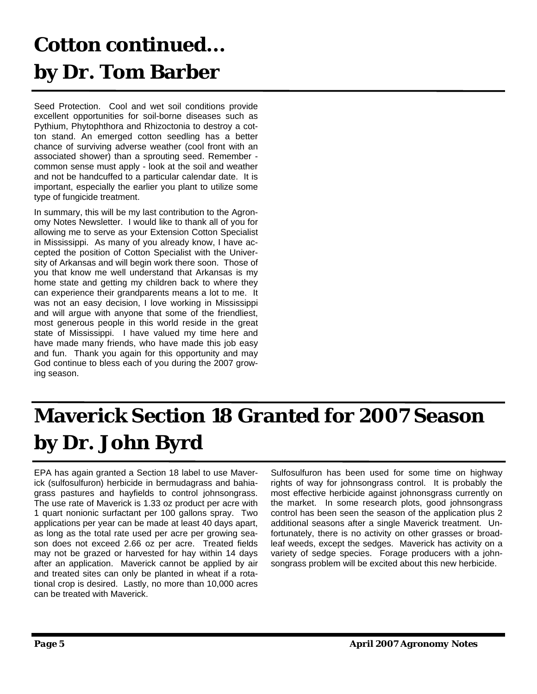## **Cotton continued... by Dr. Tom Barber**

Seed Protection. Cool and wet soil conditions provide excellent opportunities for soil-borne diseases such as Pythium, Phytophthora and Rhizoctonia to destroy a cotton stand. An emerged cotton seedling has a better chance of surviving adverse weather (cool front with an associated shower) than a sprouting seed. Remember common sense must apply - look at the soil and weather and not be handcuffed to a particular calendar date. It is important, especially the earlier you plant to utilize some type of fungicide treatment.

In summary, this will be my last contribution to the Agronomy Notes Newsletter. I would like to thank all of you for allowing me to serve as your Extension Cotton Specialist in Mississippi. As many of you already know, I have accepted the position of Cotton Specialist with the University of Arkansas and will begin work there soon. Those of you that know me well understand that Arkansas is my home state and getting my children back to where they can experience their grandparents means a lot to me. It was not an easy decision, I love working in Mississippi and will argue with anyone that some of the friendliest, most generous people in this world reside in the great state of Mississippi. I have valued my time here and have made many friends, who have made this job easy and fun. Thank you again for this opportunity and may God continue to bless each of you during the 2007 growing season.

## **Maverick Section 18 Granted for 2007 Season by Dr. John Byrd**

EPA has again granted a Section 18 label to use Maverick (sulfosulfuron) herbicide in bermudagrass and bahiagrass pastures and hayfields to control johnsongrass. The use rate of Maverick is 1.33 oz product per acre with 1 quart nonionic surfactant per 100 gallons spray. Two applications per year can be made at least 40 days apart, as long as the total rate used per acre per growing season does not exceed 2.66 oz per acre. Treated fields may not be grazed or harvested for hay within 14 days after an application. Maverick cannot be applied by air and treated sites can only be planted in wheat if a rotational crop is desired. Lastly, no more than 10,000 acres can be treated with Maverick.

Sulfosulfuron has been used for some time on highway rights of way for johnsongrass control. It is probably the most effective herbicide against johnonsgrass currently on the market. In some research plots, good johnsongrass control has been seen the season of the application plus 2 additional seasons after a single Maverick treatment. Unfortunately, there is no activity on other grasses or broadleaf weeds, except the sedges. Maverick has activity on a variety of sedge species. Forage producers with a johnsongrass problem will be excited about this new herbicide.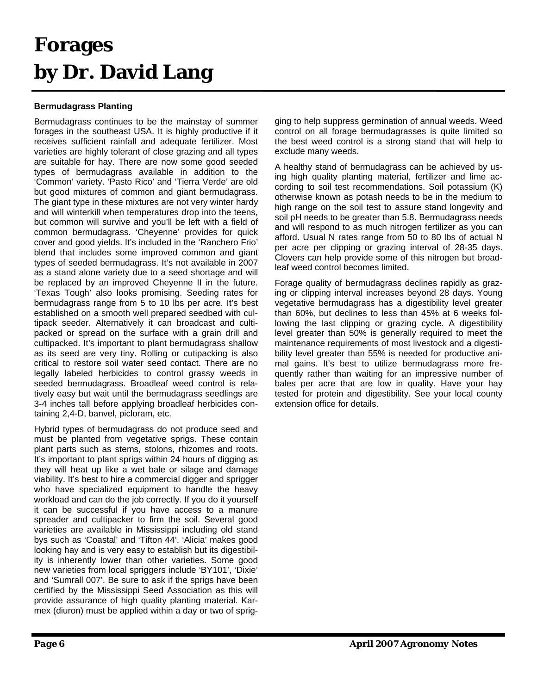#### **Forages by Dr. David Lang**

#### **Bermudagrass Planting**

Bermudagrass continues to be the mainstay of summer forages in the southeast USA. It is highly productive if it receives sufficient rainfall and adequate fertilizer. Most varieties are highly tolerant of close grazing and all types are suitable for hay. There are now some good seeded types of bermudagrass available in addition to the 'Common' variety. 'Pasto Rico' and 'Tierra Verde' are old but good mixtures of common and giant bermudagrass. The giant type in these mixtures are not very winter hardy and will winterkill when temperatures drop into the teens, but common will survive and you'll be left with a field of common bermudagrass. 'Cheyenne' provides for quick cover and good yields. It's included in the 'Ranchero Frio' blend that includes some improved common and giant types of seeded bermudagrass. It's not available in 2007 as a stand alone variety due to a seed shortage and will be replaced by an improved Cheyenne II in the future. 'Texas Tough' also looks promising. Seeding rates for bermudagrass range from 5 to 10 lbs per acre. It's best established on a smooth well prepared seedbed with cultipack seeder. Alternatively it can broadcast and cultipacked or spread on the surface with a grain drill and cultipacked. It's important to plant bermudagrass shallow as its seed are very tiny. Rolling or cutipacking is also critical to restore soil water seed contact. There are no legally labeled herbicides to control grassy weeds in seeded bermudagrass. Broadleaf weed control is relatively easy but wait until the bermudagrass seedlings are 3-4 inches tall before applying broadleaf herbicides containing 2,4-D, banvel, picloram, etc.

Hybrid types of bermudagrass do not produce seed and must be planted from vegetative sprigs. These contain plant parts such as stems, stolons, rhizomes and roots. It's important to plant sprigs within 24 hours of digging as they will heat up like a wet bale or silage and damage viability. It's best to hire a commercial digger and sprigger who have specialized equipment to handle the heavy workload and can do the job correctly. If you do it yourself it can be successful if you have access to a manure spreader and cultipacker to firm the soil. Several good varieties are available in Mississippi including old stand bys such as 'Coastal' and 'Tifton 44'. 'Alicia' makes good looking hay and is very easy to establish but its digestibility is inherently lower than other varieties. Some good new varieties from local spriggers include 'BY101', 'Dixie' and 'Sumrall 007'. Be sure to ask if the sprigs have been certified by the Mississippi Seed Association as this will provide assurance of high quality planting material. Karmex (diuron) must be applied within a day or two of sprigging to help suppress germination of annual weeds. Weed control on all forage bermudagrasses is quite limited so the best weed control is a strong stand that will help to exclude many weeds.

A healthy stand of bermudagrass can be achieved by using high quality planting material, fertilizer and lime according to soil test recommendations. Soil potassium (K) otherwise known as potash needs to be in the medium to high range on the soil test to assure stand longevity and soil pH needs to be greater than 5.8. Bermudagrass needs and will respond to as much nitrogen fertilizer as you can afford. Usual N rates range from 50 to 80 lbs of actual N per acre per clipping or grazing interval of 28-35 days. Clovers can help provide some of this nitrogen but broadleaf weed control becomes limited.

Forage quality of bermudagrass declines rapidly as grazing or clipping interval increases beyond 28 days. Young vegetative bermudagrass has a digestibility level greater than 60%, but declines to less than 45% at 6 weeks following the last clipping or grazing cycle. A digestibility level greater than 50% is generally required to meet the maintenance requirements of most livestock and a digestibility level greater than 55% is needed for productive animal gains. It's best to utilize bermudagrass more frequently rather than waiting for an impressive number of bales per acre that are low in quality. Have your hay tested for protein and digestibility. See your local county extension office for details.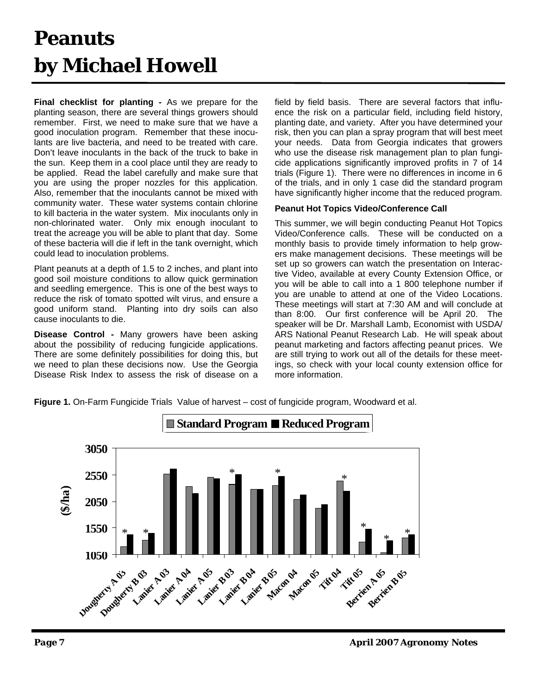#### **Peanuts by Michael Howell**

**Final checklist for planting -** As we prepare for the planting season, there are several things growers should remember. First, we need to make sure that we have a good inoculation program. Remember that these inoculants are live bacteria, and need to be treated with care. Don't leave inoculants in the back of the truck to bake in the sun. Keep them in a cool place until they are ready to be applied. Read the label carefully and make sure that you are using the proper nozzles for this application. Also, remember that the inoculants cannot be mixed with community water. These water systems contain chlorine to kill bacteria in the water system. Mix inoculants only in non-chlorinated water. Only mix enough inoculant to treat the acreage you will be able to plant that day. Some of these bacteria will die if left in the tank overnight, which could lead to inoculation problems.

Plant peanuts at a depth of 1.5 to 2 inches, and plant into good soil moisture conditions to allow quick germination and seedling emergence. This is one of the best ways to reduce the risk of tomato spotted wilt virus, and ensure a good uniform stand. Planting into dry soils can also cause inoculants to die.

**Disease Control -** Many growers have been asking about the possibility of reducing fungicide applications. There are some definitely possibilities for doing this, but we need to plan these decisions now. Use the Georgia Disease Risk Index to assess the risk of disease on a field by field basis. There are several factors that influence the risk on a particular field, including field history, planting date, and variety. After you have determined your risk, then you can plan a spray program that will best meet your needs. Data from Georgia indicates that growers who use the disease risk management plan to plan fungicide applications significantly improved profits in 7 of 14 trials (Figure 1). There were no differences in income in 6 of the trials, and in only 1 case did the standard program have significantly higher income that the reduced program.

#### **Peanut Hot Topics Video/Conference Call**

This summer, we will begin conducting Peanut Hot Topics Video/Conference calls. These will be conducted on a monthly basis to provide timely information to help growers make management decisions. These meetings will be set up so growers can watch the presentation on Interactive Video, available at every County Extension Office, or you will be able to call into a 1 800 telephone number if you are unable to attend at one of the Video Locations. These meetings will start at 7:30 AM and will conclude at than 8:00. Our first conference will be April 20. The speaker will be Dr. Marshall Lamb, Economist with USDA/ ARS National Peanut Research Lab. He will speak about peanut marketing and factors affecting peanut prices. We are still trying to work out all of the details for these meetings, so check with your local county extension office for more information.

**Figure 1.** On-Farm Fungicide Trials Value of harvest – cost of fungicide program, Woodward et al.